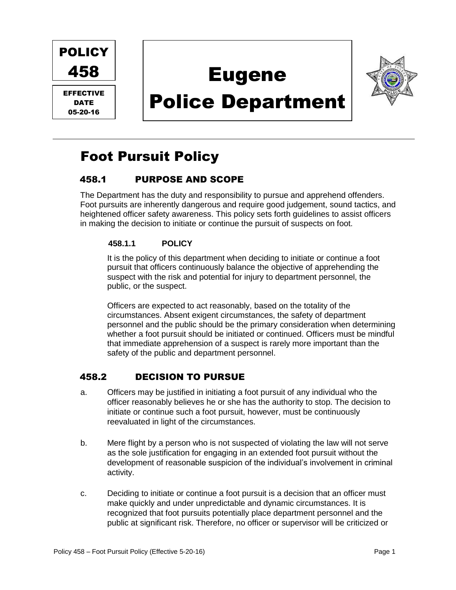

EFFECTIVE DATE 05-20-16

D

# Eugene





# Foot Pursuit Policy

# 458.1 PURPOSE AND SCOPE

The Department has the duty and responsibility to pursue and apprehend offenders. Foot pursuits are inherently dangerous and require good judgement, sound tactics, and heightened officer safety awareness. This policy sets forth guidelines to assist officers in making the decision to initiate or continue the pursuit of suspects on foot.

#### **458.1.1 POLICY**

It is the policy of this department when deciding to initiate or continue a foot pursuit that officers continuously balance the objective of apprehending the suspect with the risk and potential for injury to department personnel, the public, or the suspect.

Officers are expected to act reasonably, based on the totality of the circumstances. Absent exigent circumstances, the safety of department personnel and the public should be the primary consideration when determining whether a foot pursuit should be initiated or continued. Officers must be mindful that immediate apprehension of a suspect is rarely more important than the safety of the public and department personnel.

# 458.2 DECISION TO PURSUE

- a. Officers may be justified in initiating a foot pursuit of any individual who the officer reasonably believes he or she has the authority to stop. The decision to initiate or continue such a foot pursuit, however, must be continuously reevaluated in light of the circumstances.
- b. Mere flight by a person who is not suspected of violating the law will not serve as the sole justification for engaging in an extended foot pursuit without the development of reasonable suspicion of the individual's involvement in criminal activity.
- c. Deciding to initiate or continue a foot pursuit is a decision that an officer must make quickly and under unpredictable and dynamic circumstances. It is recognized that foot pursuits potentially place department personnel and the public at significant risk. Therefore, no officer or supervisor will be criticized or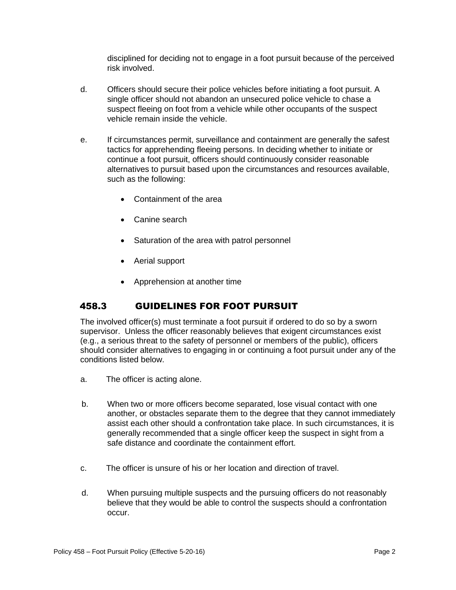disciplined for deciding not to engage in a foot pursuit because of the perceived risk involved.

- d. Officers should secure their police vehicles before initiating a foot pursuit. A single officer should not abandon an unsecured police vehicle to chase a suspect fleeing on foot from a vehicle while other occupants of the suspect vehicle remain inside the vehicle.
- e. If circumstances permit, surveillance and containment are generally the safest tactics for apprehending fleeing persons. In deciding whether to initiate or continue a foot pursuit, officers should continuously consider reasonable alternatives to pursuit based upon the circumstances and resources available, such as the following:
	- Containment of the area
	- Canine search
	- Saturation of the area with patrol personnel
	- Aerial support
	- Apprehension at another time

# 458.3 GUIDELINES FOR FOOT PURSUIT

The involved officer(s) must terminate a foot pursuit if ordered to do so by a sworn supervisor. Unless the officer reasonably believes that exigent circumstances exist (e.g., a serious threat to the safety of personnel or members of the public), officers should consider alternatives to engaging in or continuing a foot pursuit under any of the conditions listed below.

- a. The officer is acting alone.
- b. When two or more officers become separated, lose visual contact with one another, or obstacles separate them to the degree that they cannot immediately assist each other should a confrontation take place. In such circumstances, it is generally recommended that a single officer keep the suspect in sight from a safe distance and coordinate the containment effort.
- c. The officer is unsure of his or her location and direction of travel.
- d. When pursuing multiple suspects and the pursuing officers do not reasonably believe that they would be able to control the suspects should a confrontation occur.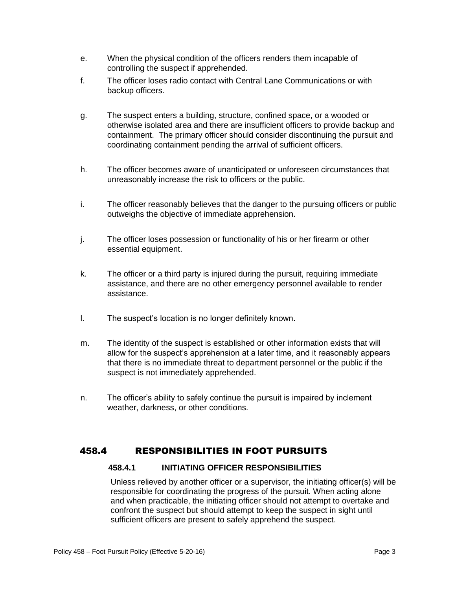- e. When the physical condition of the officers renders them incapable of controlling the suspect if apprehended.
- f. The officer loses radio contact with Central Lane Communications or with backup officers.
- g. The suspect enters a building, structure, confined space, or a wooded or otherwise isolated area and there are insufficient officers to provide backup and containment. The primary officer should consider discontinuing the pursuit and coordinating containment pending the arrival of sufficient officers.
- h. The officer becomes aware of unanticipated or unforeseen circumstances that unreasonably increase the risk to officers or the public.
- i. The officer reasonably believes that the danger to the pursuing officers or public outweighs the objective of immediate apprehension.
- j. The officer loses possession or functionality of his or her firearm or other essential equipment.
- k. The officer or a third party is injured during the pursuit, requiring immediate assistance, and there are no other emergency personnel available to render assistance.
- l. The suspect's location is no longer definitely known.
- m. The identity of the suspect is established or other information exists that will allow for the suspect's apprehension at a later time, and it reasonably appears that there is no immediate threat to department personnel or the public if the suspect is not immediately apprehended.
- n. The officer's ability to safely continue the pursuit is impaired by inclement weather, darkness, or other conditions.

#### 458.4 RESPONSIBILITIES IN FOOT PURSUITS

#### **458.4.1 INITIATING OFFICER RESPONSIBILITIES**

Unless relieved by another officer or a supervisor, the initiating officer(s) will be responsible for coordinating the progress of the pursuit. When acting alone and when practicable, the initiating officer should not attempt to overtake and confront the suspect but should attempt to keep the suspect in sight until sufficient officers are present to safely apprehend the suspect.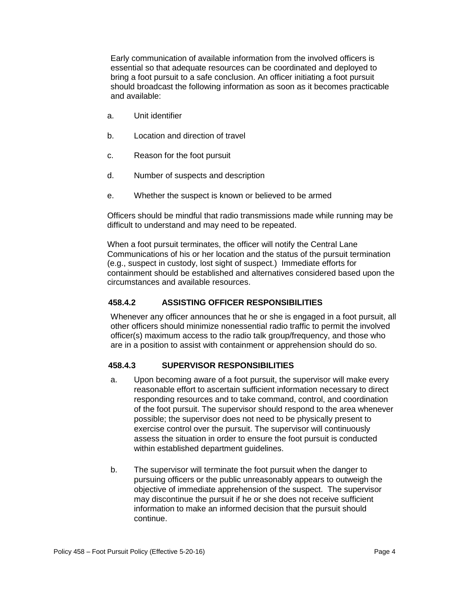Early communication of available information from the involved officers is essential so that adequate resources can be coordinated and deployed to bring a foot pursuit to a safe conclusion. An officer initiating a foot pursuit should broadcast the following information as soon as it becomes practicable and available:

- a. Unit identifier
- b. Location and direction of travel
- c. Reason for the foot pursuit
- d. Number of suspects and description
- e. Whether the suspect is known or believed to be armed

Officers should be mindful that radio transmissions made while running may be difficult to understand and may need to be repeated.

When a foot pursuit terminates, the officer will notify the Central Lane Communications of his or her location and the status of the pursuit termination (e.g., suspect in custody, lost sight of suspect.) Immediate efforts for containment should be established and alternatives considered based upon the circumstances and available resources.

#### **458.4.2 ASSISTING OFFICER RESPONSIBILITIES**

Whenever any officer announces that he or she is engaged in a foot pursuit, all other officers should minimize nonessential radio traffic to permit the involved officer(s) maximum access to the radio talk group/frequency, and those who are in a position to assist with containment or apprehension should do so.

#### **458.4.3 SUPERVISOR RESPONSIBILITIES**

- a. Upon becoming aware of a foot pursuit, the supervisor will make every reasonable effort to ascertain sufficient information necessary to direct responding resources and to take command, control, and coordination of the foot pursuit. The supervisor should respond to the area whenever possible; the supervisor does not need to be physically present to exercise control over the pursuit. The supervisor will continuously assess the situation in order to ensure the foot pursuit is conducted within established department guidelines.
- b. The supervisor will terminate the foot pursuit when the danger to pursuing officers or the public unreasonably appears to outweigh the objective of immediate apprehension of the suspect. The supervisor may discontinue the pursuit if he or she does not receive sufficient information to make an informed decision that the pursuit should continue.